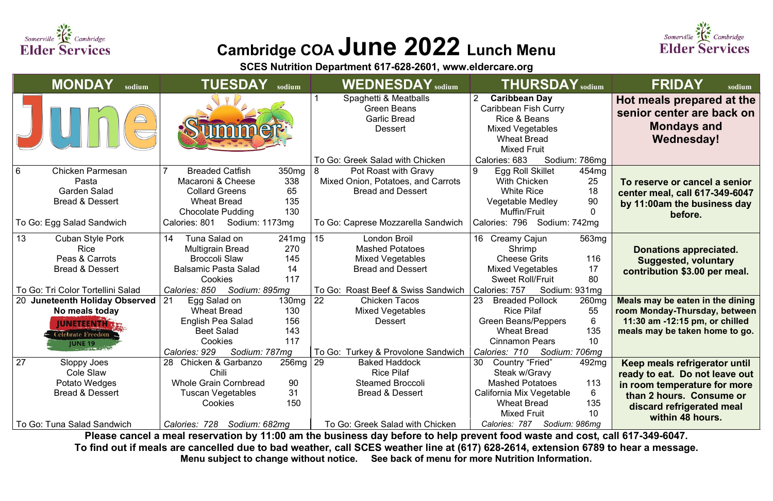

## **Cambridge COA June 2022 Lunch Menu**

**SCES Nutrition Department 617-628-2601, [www.eldercare.org](about:blank)**

| <b>MONDAY</b><br>sodium                                                                                                           | <b>TUESDAY</b><br>sodium                                                                                                                                                                                  | <b>WEDNESDAY</b> sodium                                                                                                                                         | <b>THURSDAY</b> sodium                                                                                                                                                                                                    | <b>FRIDAY</b><br>sodium                                                                                                                                                      |
|-----------------------------------------------------------------------------------------------------------------------------------|-----------------------------------------------------------------------------------------------------------------------------------------------------------------------------------------------------------|-----------------------------------------------------------------------------------------------------------------------------------------------------------------|---------------------------------------------------------------------------------------------------------------------------------------------------------------------------------------------------------------------------|------------------------------------------------------------------------------------------------------------------------------------------------------------------------------|
|                                                                                                                                   |                                                                                                                                                                                                           | Spaghetti & Meatballs<br><b>Green Beans</b><br><b>Garlic Bread</b><br><b>Dessert</b>                                                                            | $\overline{2}$<br><b>Caribbean Day</b><br><b>Caribbean Fish Curry</b><br>Rice & Beans<br><b>Mixed Vegetables</b><br><b>Wheat Bread</b><br><b>Mixed Fruit</b>                                                              | Hot meals prepared at the<br>senior center are back on<br><b>Mondays and</b><br><b>Wednesday!</b>                                                                            |
| 6<br><b>Chicken Parmesan</b><br>Pasta<br><b>Garden Salad</b><br><b>Bread &amp; Dessert</b><br>To Go: Egg Salad Sandwich           | <b>Breaded Catfish</b><br>350 <sub>mg</sub><br>Macaroni & Cheese<br>338<br>65<br><b>Collard Greens</b><br>135<br><b>Wheat Bread</b><br>130<br><b>Chocolate Pudding</b><br>Calories: 801<br>Sodium: 1173mg | To Go: Greek Salad with Chicken<br>Pot Roast with Gravy<br>Mixed Onion, Potatoes, and Carrots<br><b>Bread and Dessert</b><br>To Go: Caprese Mozzarella Sandwich | Calories: 683<br>Sodium: 786mg<br>9<br>Egg Roll Skillet<br>454 <sub>mg</sub><br>25<br><b>With Chicken</b><br><b>White Rice</b><br>18<br>90<br><b>Vegetable Medley</b><br>Muffin/Fruit<br>0<br>Calories: 796 Sodium: 742mg | To reserve or cancel a senior<br>center meal, call 617-349-6047<br>by 11:00am the business day<br>before.                                                                    |
| 13<br><b>Cuban Style Pork</b><br><b>Rice</b><br>Peas & Carrots<br><b>Bread &amp; Dessert</b><br>To Go: Tri Color Tortellini Salad | 14<br>Tuna Salad on<br>241mg<br>270<br><b>Multigrain Bread</b><br>145<br><b>Broccoli Slaw</b><br><b>Balsamic Pasta Salad</b><br>14<br>117<br>Cookies<br>Calories: 850<br>Sodium: 895mg                    | 15<br><b>London Broil</b><br><b>Mashed Potatoes</b><br><b>Mixed Vegetables</b><br><b>Bread and Dessert</b><br>To Go: Roast Beef & Swiss Sandwich                | 16 Creamy Cajun<br>563 <sub>mg</sub><br>Shrimp<br><b>Cheese Grits</b><br>116<br><b>Mixed Vegetables</b><br>17<br>80<br><b>Sweet Roll/Fruit</b><br>Sodium: 931mg<br>Calories: 757                                          | <b>Donations appreciated.</b><br><b>Suggested, voluntary</b><br>contribution \$3.00 per meal.                                                                                |
| 20 Juneteenth Holiday Observed<br>No meals today<br><b>JUNETEENTHIX</b><br>Celebrate Freedom<br><b>JUNE 19</b>                    | 21<br>Egg Salad on<br>130mg<br><b>Wheat Bread</b><br>130<br>English Pea Salad<br>156<br>143<br><b>Beet Salad</b><br>117<br><b>Cookies</b><br>Calories: 929<br>Sodium: 787mg                               | 22<br><b>Chicken Tacos</b><br><b>Mixed Vegetables</b><br><b>Dessert</b><br>To Go: Turkey & Provolone Sandwich                                                   | <b>Breaded Pollock</b><br>260 <sub>mg</sub><br>55<br><b>Rice Pilaf</b><br><b>Green Beans/Peppers</b><br>6<br>135<br><b>Wheat Bread</b><br>10<br><b>Cinnamon Pears</b><br>Calories: 710<br>Sodium: 706mg                   | Meals may be eaten in the dining<br>room Monday-Thursday, between<br>11:30 am -12:15 pm, or chilled<br>meals may be taken home to go.                                        |
| 27<br>Sloppy Joes<br>Cole Slaw<br>Potato Wedges<br><b>Bread &amp; Dessert</b><br>To Go: Tuna Salad Sandwich                       | 256mg   29<br><b>Chicken &amp; Garbanzo</b><br>28<br>Chili<br><b>Whole Grain Cornbread</b><br>90<br>31<br>Tuscan Vegetables<br>150<br>Cookies<br>Calories: 728<br>Sodium: 682mg                           | <b>Baked Haddock</b><br><b>Rice Pilaf</b><br><b>Steamed Broccoli</b><br><b>Bread &amp; Dessert</b><br>To Go: Greek Salad with Chicken                           | 30<br><b>Country "Fried"</b><br>492mg<br>Steak w/Gravy<br><b>Mashed Potatoes</b><br>113<br>6<br>California Mix Vegetable<br>135<br><b>Wheat Bread</b><br><b>Mixed Fruit</b><br>10<br>Sodium: 986mg<br>Calories: 787       | Keep meals refrigerator until<br>ready to eat. Do not leave out<br>in room temperature for more<br>than 2 hours. Consume or<br>discard refrigerated meal<br>within 48 hours. |

**Please cancel a meal reservation by 11:00 am the business day before to help prevent food waste and cost, call 617-349-6047. To find out if meals are cancelled due to bad weather, call SCES weather line at (617) 628-2614, extension 6789 to hear a message. Menu subject to change without notice. See back of menu for more Nutrition Information.**